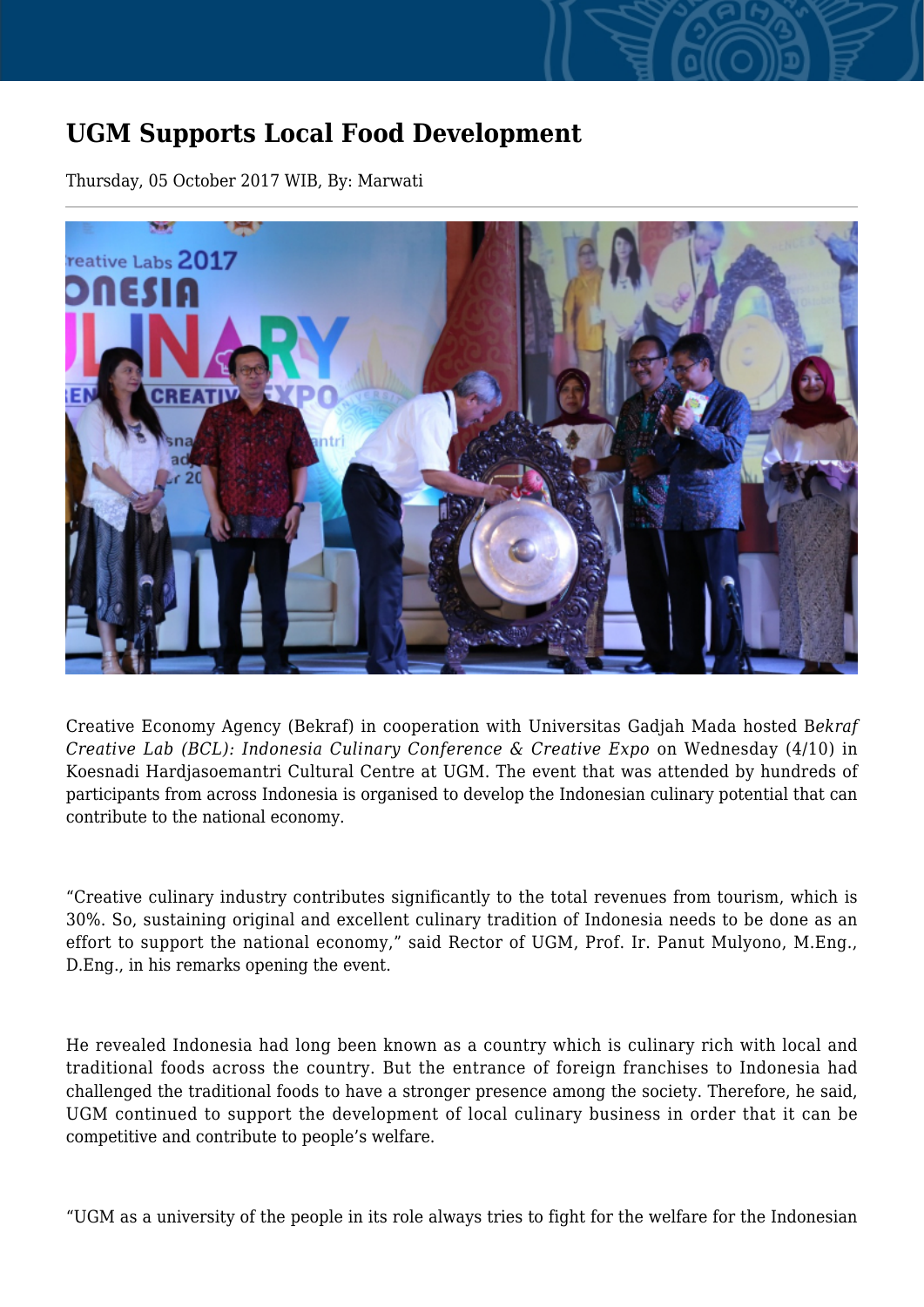## **UGM Supports Local Food Development**

Thursday, 05 October 2017 WIB, By: Marwati



Creative Economy Agency (Bekraf) in cooperation with Universitas Gadjah Mada hosted B*ekraf Creative Lab (BCL): Indonesia Culinary Conference & Creative Expo* on Wednesday (4/10) in Koesnadi Hardjasoemantri Cultural Centre at UGM. The event that was attended by hundreds of participants from across Indonesia is organised to develop the Indonesian culinary potential that can contribute to the national economy.

"Creative culinary industry contributes significantly to the total revenues from tourism, which is 30%. So, sustaining original and excellent culinary tradition of Indonesia needs to be done as an effort to support the national economy," said Rector of UGM, Prof. Ir. Panut Mulyono, M.Eng., D.Eng., in his remarks opening the event.

He revealed Indonesia had long been known as a country which is culinary rich with local and traditional foods across the country. But the entrance of foreign franchises to Indonesia had challenged the traditional foods to have a stronger presence among the society. Therefore, he said, UGM continued to support the development of local culinary business in order that it can be competitive and contribute to people's welfare.

"UGM as a university of the people in its role always tries to fight for the welfare for the Indonesian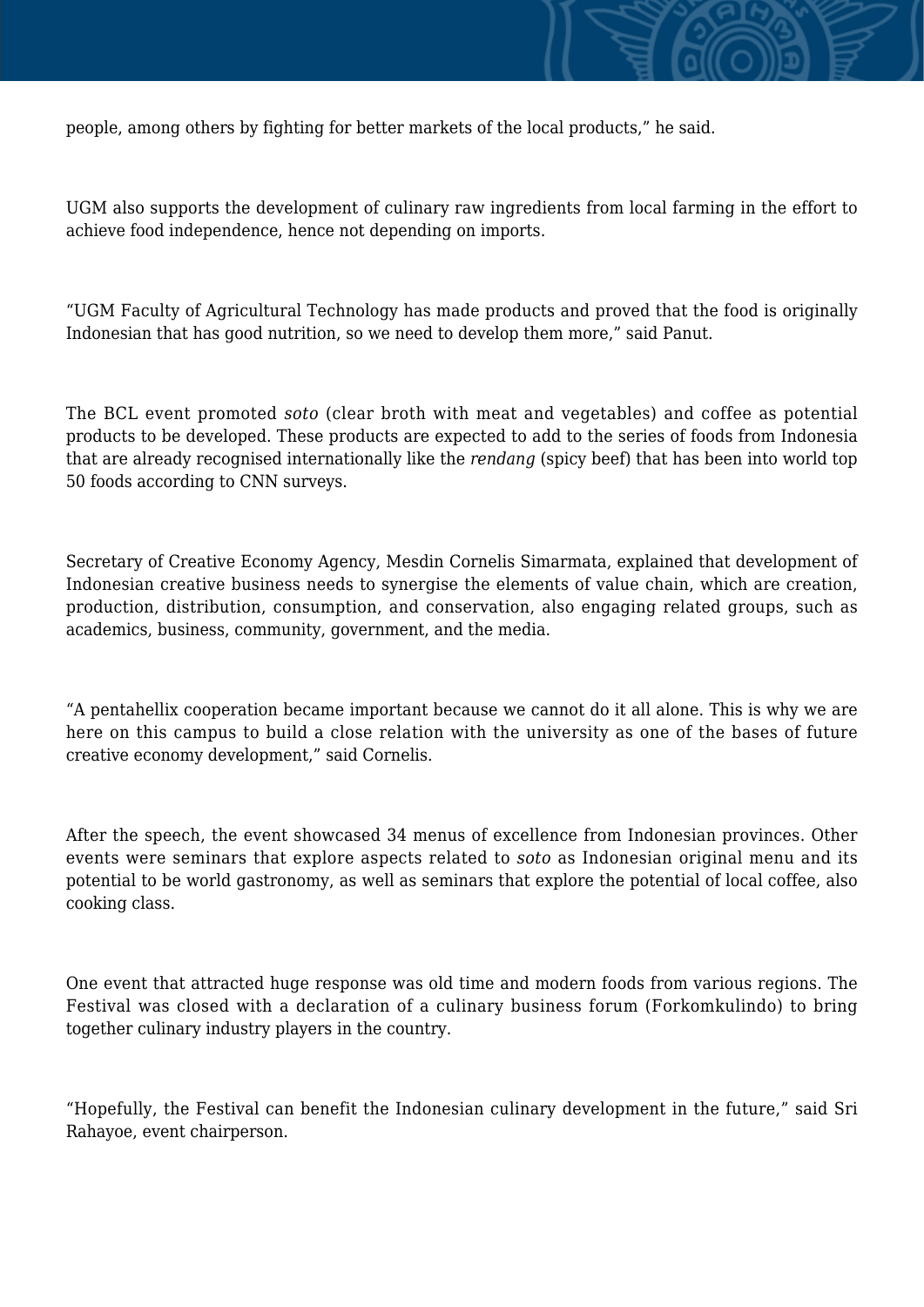

people, among others by fighting for better markets of the local products," he said.

UGM also supports the development of culinary raw ingredients from local farming in the effort to achieve food independence, hence not depending on imports.

"UGM Faculty of Agricultural Technology has made products and proved that the food is originally Indonesian that has good nutrition, so we need to develop them more," said Panut.

The BCL event promoted *soto* (clear broth with meat and vegetables) and coffee as potential products to be developed. These products are expected to add to the series of foods from Indonesia that are already recognised internationally like the *rendang* (spicy beef) that has been into world top 50 foods according to CNN surveys.

Secretary of Creative Economy Agency, Mesdin Cornelis Simarmata, explained that development of Indonesian creative business needs to synergise the elements of value chain, which are creation, production, distribution, consumption, and conservation, also engaging related groups, such as academics, business, community, government, and the media.

"A pentahellix cooperation became important because we cannot do it all alone. This is why we are here on this campus to build a close relation with the university as one of the bases of future creative economy development," said Cornelis.

After the speech, the event showcased 34 menus of excellence from Indonesian provinces. Other events were seminars that explore aspects related to *soto* as Indonesian original menu and its potential to be world gastronomy, as well as seminars that explore the potential of local coffee, also cooking class.

One event that attracted huge response was old time and modern foods from various regions. The Festival was closed with a declaration of a culinary business forum (Forkomkulindo) to bring together culinary industry players in the country.

"Hopefully, the Festival can benefit the Indonesian culinary development in the future," said Sri Rahayoe, event chairperson.